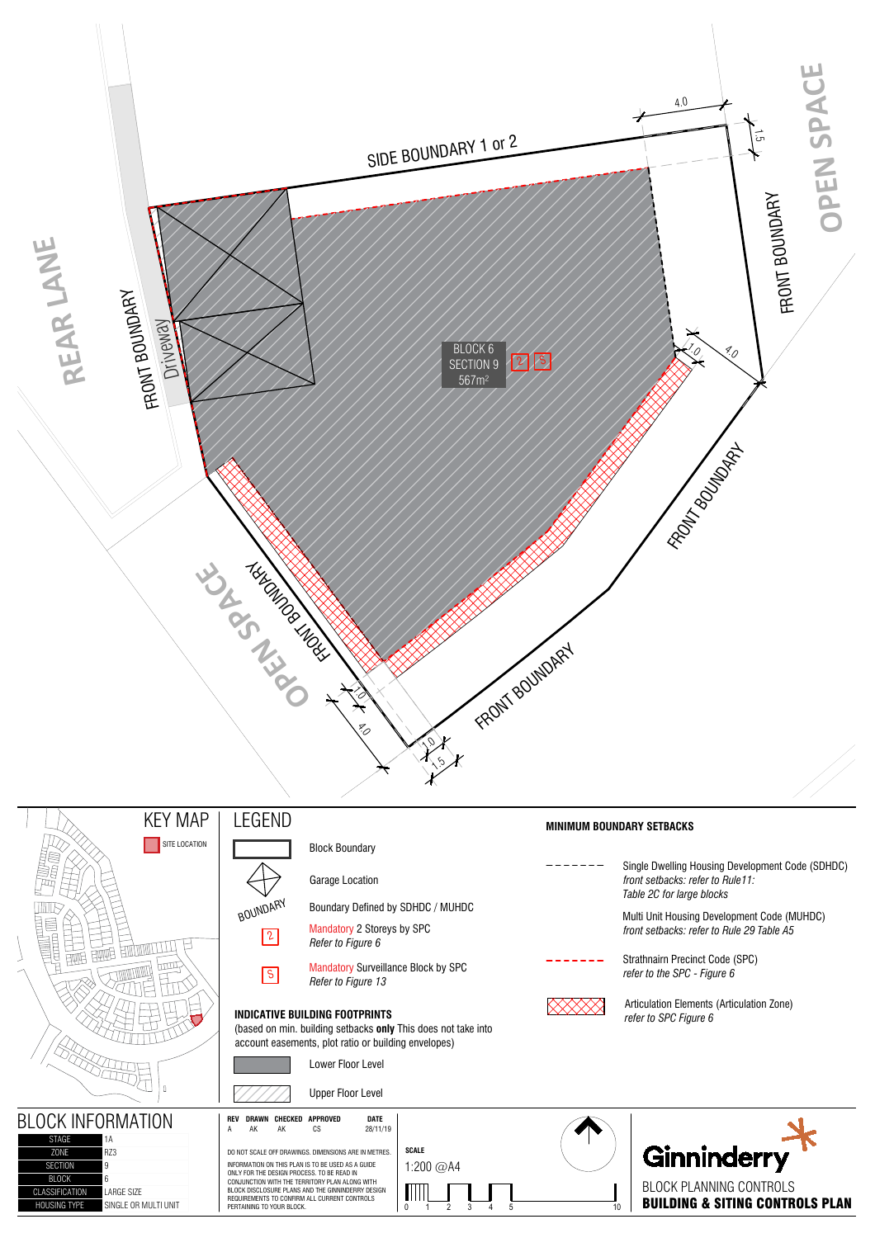